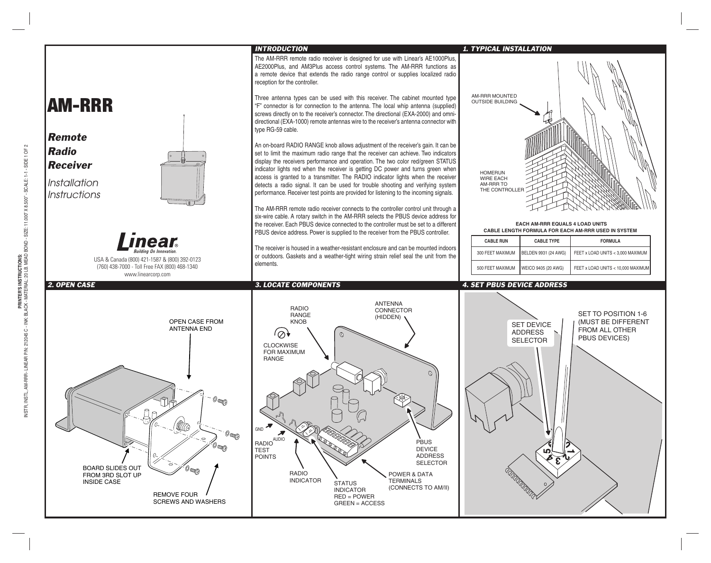